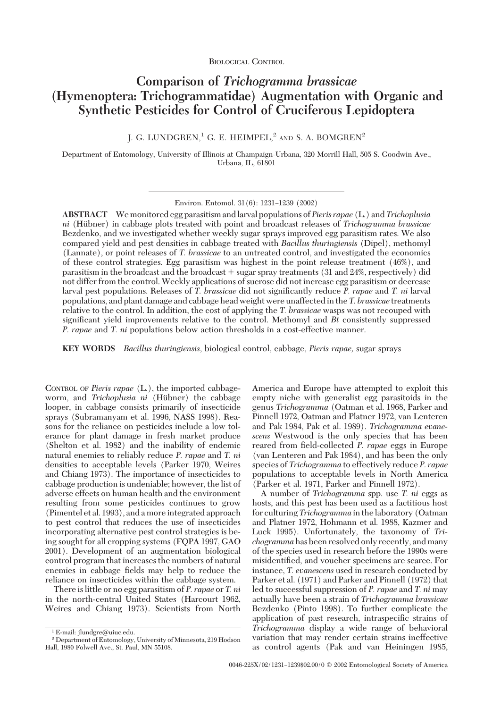# **Comparison of** *Trichogramma brassicae* **(Hymenoptera: Trichogrammatidae) Augmentation with Organic and Synthetic Pesticides for Control of Cruciferous Lepidoptera**

J. G. LUNDGREN,<sup>1</sup> G. E. HEIMPEL,<sup>2</sup> AND S. A. BOMGREN<sup>2</sup>

Department of Entomology, University of Illinois at Champaign-Urbana, 320 Morrill Hall, 505 S. Goodwin Ave., Urbana, IL, 61801

Environ. Entomol. 31(6): 1231-1239 (2002)

**ABSTRACT** We monitored egg parasitism andlarval populations of*Pieris rapae* (L.) and*Trichoplusia ni* (Hübner) in cabbage plots treated with point and broadcast releases of *Trichogramma brassicae* Bezdenko, and we investigated whether weekly sugar sprays improved egg parasitism rates. We also compared yield and pest densities in cabbage treated with *Bacillus thuringiensis* (Dipel), methomyl (Lannate), or point releases of *T. brassicae* to an untreated control, and investigated the economics of these control strategies. Egg parasitism was highest in the point release treatment (46%), and parasitism in the broadcast and the broadcast  $+$  sugar spray treatments (31 and 24%, respectively) did not differ from the control. Weekly applications of sucrose did not increase egg parasitism or decrease larval pest populations. Releases of *T. brassicae* did not significantly reduce *P. rapae* and *T. ni* larval populations, and plant damage and cabbage head weight were unaffected in the *T. brassicae* treatments relative to the control. In addition, the cost of applying the *T. brassicae* wasps was not recouped with significant yield improvements relative to the control. Methomyl and *Bt* consistently suppressed *P. rapae* and *T. ni* populations below action thresholds in a cost-effective manner.

**KEY WORDS** *Bacillus thuringiensis*, biological control, cabbage, *Pieris rapae,* sugar sprays

CONTROL OF *Pieris rapae* (L.), the imported cabbageworm, and *Trichoplusia ni* (Hübner) the cabbage looper, in cabbage consists primarily of insecticide sprays (Subramanyam et al. 1996, NASS 1998). Reasons for the reliance on pesticides include a low tolerance for plant damage in fresh market produce (Shelton et al. 1982) and the inability of endemic natural enemies to reliably reduce *P. rapae* and *T. ni* densities to acceptable levels (Parker 1970, Weires and Chiang 1973). The importance of insecticides to cabbage production is undeniable; however, the list of adverse effects on human health and the environment resulting from some pesticides continues to grow (Pimentel et al. 1993), and a more integrated approach to pest control that reduces the use of insecticides incorporating alternative pest control strategies is being sought for all cropping systems (FQPA 1997, GAO 2001). Development of an augmentation biological control program that increases the numbers of natural enemies in cabbage fields may help to reduce the reliance on insecticides within the cabbage system.

There is little or no egg parasitism of *P. rapae* or *T. ni* in the north-central United States (Harcourt 1962, Weires and Chiang 1973). Scientists from North America and Europe have attempted to exploit this empty niche with generalist egg parasitoids in the genus *Trichogramma* (Oatman et al. 1968, Parker and Pinnell 1972, Oatman and Platner 1972, van Lenteren and Pak 1984, Pak et al. 1989). *Trichogramma evanescens* Westwood is the only species that has been reared from field-collected *P. rapae* eggs in Europe (van Lenteren and Pak 1984), and has been the only species of *Trichogramma* to effectively reduce *P. rapae* populations to acceptable levels in North America (Parker et al. 1971, Parker and Pinnell 1972).

A number of *Trichogramma* spp. use *T. ni* eggs as hosts, and this pest has been used as a factitious host for culturing*Trichogramma* in thelaboratory (Oatman and Platner 1972, Hohmann et al. 1988, Kazmer and Luck 1995). Unfortunately, the taxonomy of *Trichogramma* has been resolved only recently, and many of the species used in research before the 1990s were misidentified, and voucher specimens are scarce. For instance, *T. evanescens* used in research conducted by Parker et al. (1971) and Parker and Pinnell (1972) that led to successful suppression of *P. rapae* and *T. ni* may actually have been a strain of *Trichogramma brassicae* Bezdenko (Pinto 1998). To further complicate the application of past research, intraspecific strains of *Trichogramma* display a wide range of behavioral variation that may render certain strains ineffective as control agents (Pak and van Heiningen 1985,

<sup>1</sup> E-mail: jlundgre@uiuc.edu.

<sup>2</sup> Department of Entomology, University of Minnesota, 219 Hodson Hall, 1980 Folwell Ave., St. Paul, MN 55108.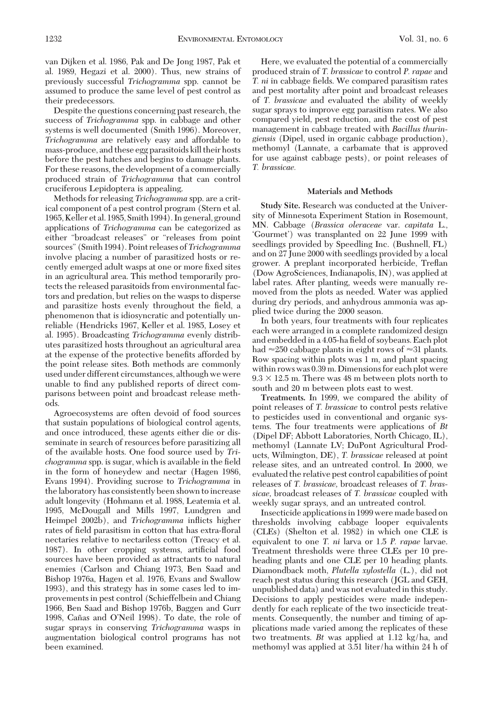van Dijken et al. 1986, Pak and De Jong 1987, Pak et al. 1989, Hegazi et al. 2000). Thus, new strains of previously successful *Trichogramma* spp. cannot be assumed to produce the same level of pest control as their predecessors.

Despite the questions concerning past research, the success of *Trichogramma* spp. in cabbage and other systems is well documented (Smith 1996). Moreover, *Trichogramma* are relatively easy and affordable to mass-produce, and these egg parasitoids kill their hosts before the pest hatches and begins to damage plants. For these reasons, the development of a commercially produced strain of *Trichogramma* that can control cruciferous Lepidoptera is appealing.

Methods for releasing *Trichogramma* spp. are a critical component of a pest control program (Stern et al. 1965, Keller et al. 1985, Smith 1994). In general, ground applications of *Trichogramma* can be categorized as either "broadcast releases" or "releases from point sources" (Smith 1994). Point releases of*Trichogramma* involve placing a number of parasitized hosts or recently emerged adult wasps at one or more fixed sites in an agricultural area. This method temporarily protects the released parasitoids from environmental factors and predation, but relies on the wasps to disperse and parasitize hosts evenly throughout the field, a phenomenon that is idiosyncratic and potentially unreliable (Hendricks 1967, Keller et al. 1985, Losey et al. 1995). Broadcasting *Trichogramma* evenly distributes parasitized hosts throughout an agricultural area at the expense of the protective benefits afforded by the point release sites. Both methods are commonly used under different circumstances, although we were unable to find any published reports of direct comparisons between point and broadcast release methods.

Agroecosystems are often devoid of food sources that sustain populations of biological control agents, and once introduced, these agents either die or disseminate in search of resources before parasitizing all of the available hosts. One food source used by *Trichogramma* spp. is sugar, which is available in the field in the form of honeydew and nectar (Hagen 1986, Evans 1994). Providing sucrose to *Trichogramma* in the laboratory has consistently been shown to increase adult longevity (Hohmann et al. 1988, Leatemia et al. 1995, McDougall and Mills 1997, Lundgren and Heimpel 2002b), and *Trichogramma* inßicts higher rates of field parasitism in cotton that has extra-floral nectaries relative to nectariless cotton (Treacy et al. 1987). In other cropping systems, artificial food sources have been provided as attractants to natural enemies (Carlson and Chiang 1973, Ben Saad and Bishop 1976a, Hagen et al. 1976, Evans and Swallow 1993), and this strategy has in some cases led to improvements in pest control (Schieffelbein and Chiang 1966, Ben Saad and Bishop 1976b, Baggen and Gurr 1998, Cañas and O'Neil 1998). To date, the role of sugar sprays in conserving *Trichogramma* wasps in augmentation biological control programs has not been examined.

Here, we evaluated the potential of a commercially produced strain of *T. brassicae* to control *P. rapae* and *T. ni* in cabbage fields. We compared parasitism rates and pest mortality after point and broadcast releases of *T. brassicae* and evaluated the ability of weekly sugar sprays to improve egg parasitism rates. We also compared yield, pest reduction, and the cost of pest management in cabbage treated with *Bacillus thuringiensis* (Dipel, used in organic cabbage production), methomyl (Lannate, a carbamate that is approved for use against cabbage pests), or point releases of *T. brassicae.*

## **Materials and Methods**

**Study Site.** Research was conducted at the University of Minnesota Experiment Station in Rosemount, MN. Cabbage (*Brassica oleraceae* var. *capitata* L., 'Gourmet') was transplanted on 22 June 1999 with seedlings provided by Speedling Inc. (Bushnell, FL) and on 27 June 2000 with seedlings provided by a local grower. A preplant incorporated herbicide, Treßan (Dow AgroSciences, Indianapolis, IN), was applied at label rates. After planting, weeds were manually removed from the plots as needed. Water was applied during dry periods, and anhydrous ammonia was applied twice during the 2000 season.

In both years, four treatments with four replicates each were arranged in a complete randomized design and embedded in a 4.05-ha field of soybeans. Each plot had  $\approx$  250 cabbage plants in eight rows of  $\approx$  31 plants. Row spacing within plots was 1 m, and plant spacing within rows was 0.39 m. Dimensions for each plot were  $9.3 \times 12.5$  m. There was 48 m between plots north to south and 20 m between plots east to west.

**Treatments.** In 1999, we compared the ability of point releases of *T. brassicae* to control pests relative to pesticides used in conventional and organic systems. The four treatments were applications of *Bt* (Dipel DF; Abbott Laboratories, North Chicago, IL), methomyl (Lannate LV; DuPont Agricultural Products, Wilmington, DE), *T. brassicae* released at point release sites, and an untreated control. In 2000, we evaluated the relative pest control capabilities of point releases of *T. brassicae,* broadcast releases of *T. brassicae,* broadcast releases of *T. brassicae* coupled with weekly sugar sprays, and an untreated control.

Insecticide applications in 1999 were made based on thresholds involving cabbage looper equivalents (CLEs) (Shelton et al. 1982) in which one CLE is equivalent to one *T. ni* larva or 1.5 *P. rapae* larvae. Treatment thresholds were three CLEs per 10 preheading plants and one CLE per 10 heading plants. Diamondback moth, *Plutella xylostella* (L.), did not reach pest status during this research (JGL and GEH, unpublished data) and was not evaluated in this study. Decisions to apply pesticides were made independently for each replicate of the two insecticide treatments. Consequently, the number and timing of applications made varied among the replicates of these two treatments. *Bt* was applied at 1.12 kg/ha, and methomyl was applied at 3.51 liter/ha within 24 h of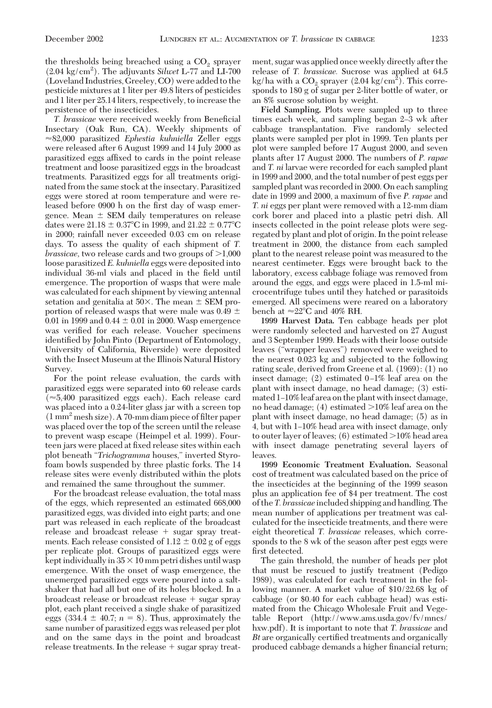the thresholds being breached using a  $CO<sub>2</sub>$  sprayer (2.04 kg/cm2 ). The adjuvants *Silwet* L-77 and LI-700 (Loveland Industries, Greeley, CO) were added to the pesticide mixtures at 1 liter per 49.8 liters of pesticides and 1 liter per 25.14 liters, respectively, to increase the persistence of the insecticides.

T. brassicae were received weekly from Beneficial Insectary (Oak Run, CA). Weekly shipments of -82,000 parasitized *Ephestia kuhniella* Zeller eggs were released after 6 August 1999 and 14 July 2000 as parasitized eggs affixed to cards in the point release treatment and loose parasitized eggs in the broadcast treatments. Parasitized eggs for all treatments originated from the same stock at the insectary. Parasitized eggs were stored at room temperature and were released before 0900 h on the first day of wasp emergence. Mean  $\pm$  SEM daily temperatures on release dates were  $21.18 \pm 0.37^{\circ}$ C in 1999, and  $21.22 \pm 0.77^{\circ}$ C in 2000; rainfall never exceeded 0.03 cm on release days. To assess the quality of each shipment of *T. brassicae*, two release cards and two groups of  $>1,000$ loose parasitized *E. kuhniella* eggs were deposited into individual 36-ml vials and placed in the field until emergence. The proportion of wasps that were male was calculated for each shipment by viewing antennal setation and genitalia at 50 $\times$ . The mean  $\pm$  SEM proportion of released wasps that were male was 0.49  $\pm$ 0.01 in 1999 and  $0.44 \pm 0.01$  in 2000. Wasp emergence was verified for each release. Voucher specimens identified by John Pinto (Department of Entomology, University of California, Riverside) were deposited with the Insect Museum at the Illinois Natural History Survey.

For the point release evaluation, the cards with parasitized eggs were separated into 60 release cards  $(\approx 5,400$  parasitized eggs each). Each release card was placed into a 0.24-liter glass jar with a screen top  $(1 \text{ mm}^2 \text{ mesh size})$ . A 70-mm diam piece of filter paper was placed over the top of the screen until the release to prevent wasp escape (Heimpel et al. 1999). Fourteen jars were placed at fixed release sites within each plot beneath "*Trichogramma* houses," inverted Styrofoam bowls suspended by three plastic forks. The 14 release sites were evenly distributed within the plots and remained the same throughout the summer.

For the broadcast release evaluation, the total mass of the eggs, which represented an estimated 668,000 parasitized eggs, was divided into eight parts; and one part was released in each replicate of the broadcast release and broadcast release  $+$  sugar spray treatments. Each release consisted of  $1.12 \pm 0.02$  g of eggs per replicate plot. Groups of parasitized eggs were kept individually in  $35 \times 10$  mm petri dishes until wasp emergence. With the onset of wasp emergence, the unemerged parasitized eggs were poured into a saltshaker that had all but one of its holes blocked. In a broadcast release or broadcast release + sugar spray plot, each plant received a single shake of parasitized eggs  $(334.4 \pm 40.7; n = 8)$ . Thus, approximately the same number of parasitized eggs was released per plot and on the same days in the point and broadcast release treatments. In the release  $+$  sugar spray treatment, sugar was applied once weekly directly after the release of *T. brassicae.* Sucrose was applied at 64.5 kg/ha with a  $\rm CO_2$  sprayer (2.04 kg/cm<sup>2</sup>). This corresponds to 180 g of sugar per 2-liter bottle of water, or an 8% sucrose solution by weight.

**Field Sampling.** Plots were sampled up to three times each week, and sampling began 2–3 wk after cabbage transplantation. Five randomly selected plants were sampled per plot in 1999. Ten plants per plot were sampled before 17 August 2000, and seven plants after 17 August 2000. The numbers of *P. rapae* and *T. ni* larvae were recorded for each sampled plant in 1999 and 2000, and the total number of pest eggs per sampled plant was recorded in 2000. On each sampling date in 1999 and 2000, a maximum of five *P. rapae* and *T. ni* eggs per plant were removed with a 12-mm diam cork borer and placed into a plastic petri dish. All insects collected in the point release plots were segregated by plant and plot of origin. In the point release treatment in 2000, the distance from each sampled plant to the nearest release point was measured to the nearest centimeter. Eggs were brought back to the laboratory, excess cabbage foliage was removed from around the eggs, and eggs were placed in 1.5-ml microcentrifuge tubes until they hatched or parasitoids emerged. All specimens were reared on a laboratory bench at  $\approx$ 22°C and 40% RH.

**1999 Harvest Data.** Ten cabbage heads per plot were randomly selected and harvested on 27 August and 3 September 1999. Heads with their loose outside leaves ("wrapper leaves") removed were weighed to the nearest 0.023 kg and subjected to the following rating scale, derived from Greene et al. (1969): (1) no insect damage;  $(2)$  estimated 0–1% leaf area on the plant with insect damage, no head damage; (3) estimated 1-10% leaf area on the plant with insect damage, no head damage;  $(4)$  estimated  $>10\%$  leaf area on the plant with insect damage, no head damage; (5) as in 4, but with 1–10% head area with insect damage, only to outer layer of leaves;  $(6)$  estimated  $>10\%$  head area with insect damage penetrating several layers of leaves.

**1999 Economic Treatment Evaluation.** Seasonal cost of treatment was calculated based on the price of the insecticides at the beginning of the 1999 season plus an application fee of \$4 per treatment. The cost of the*T. brassicae* included shipping and handling. The mean number of applications per treatment was calculated for the insecticide treatments, and there were eight theoretical *T. brassicae* releases, which corresponds to the 8 wk of the season after pest eggs were first detected.

The gain threshold, the number of heads per plot that must be rescued to justify treatment (Pedigo 1989), was calculated for each treatment in the following manner. A market value of \$10/22.68 kg of cabbage (or \$0.40 for each cabbage head) was estimated from the Chicago Wholesale Fruit and Vegetable Report (http://www.ams.usda.gov/fv/mncs/ hxw.pdf). It is important to note that *T. brassicae* and Bt are organically certified treatments and organically produced cabbage demands a higher financial return;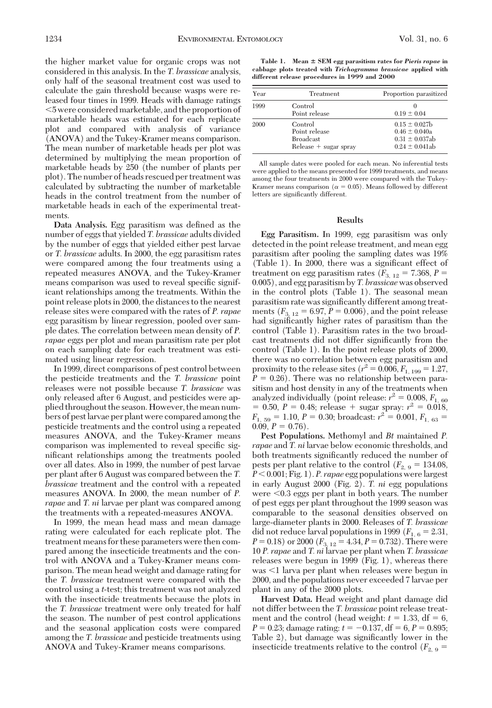the higher market value for organic crops was not considered in this analysis. In the *T. brassicae* analysis, only half of the seasonal treatment cost was used to calculate the gain threshold because wasps were released four times in 1999. Heads with damage ratings 5 were consideredmarketable, and the proportion of marketable heads was estimated for each replicate plot and compared with analysis of variance (ANOVA) and the Tukey-Kramer means comparison. The mean number of marketable heads per plot was determined by multiplying the mean proportion of marketable heads by 250 (the number of plants per plot). The number of heads rescued per treatment was calculated by subtracting the number of marketable heads in the control treatment from the number of marketable heads in each of the experimental treatments.

Data Analysis. Egg parasitism was defined as the number of eggs that yielded *T. brassicae* adults divided by the number of eggs that yielded either pest larvae or *T. brassicae* adults. In 2000, the egg parasitism rates were compared among the four treatments using a repeated measures ANOVA, and the Tukey-Kramer means comparison was used to reveal specific significant relationships among the treatments. Within the point release plots in 2000, the distances to the nearest release sites were compared with the rates of *P. rapae* egg parasitism by linear regression, pooled over sample dates. The correlation between mean density of *P. rapae* eggs per plot and mean parasitism rate per plot on each sampling date for each treatment was estimated using linear regression.

In 1999, direct comparisons of pest control between the pesticide treatments and the *T. brassicae* point releases were not possible because *T. brassicae* was only released after 6 August, and pesticides were applied throughout the season. However, the mean numbers of pestlarvae per plant were compared among the pesticide treatments and the control using a repeated measures ANOVA, and the Tukey-Kramer means comparison was implemented to reveal specific significant relationships among the treatments pooled over all dates. Also in 1999, the number of pest larvae per plant after 6 August was compared between the *T. brassicae* treatment and the control with a repeated measures ANOVA. In 2000, the mean number of *P. rapae* and *T. ni* larvae per plant was compared among the treatments with a repeated-measures ANOVA.

In 1999, the mean head mass and mean damage rating were calculated for each replicate plot. The treatment means for these parameters were then compared among the insecticide treatments and the control with ANOVA and a Tukey-Kramer means comparison. The mean head weight and damage rating for the *T. brassicae* treatment were compared with the control using a *t*-test; this treatment was not analyzed with the insecticide treatments because the plots in the *T. brassicae* treatment were only treated for half the season. The number of pest control applications and the seasonal application costs were compared among the *T. brassicae* and pesticide treatments using ANOVA and Tukey-Kramer means comparisons.

**Table 1. Mean SEM egg parasitism rates for** *Pieris rapae* **in cabbage plots treated with** *Trichogramma brassicae* **applied with different release procedures in 1999 and 2000**

| Year | Treatment                                                               | Proportion parasitized                                                                |  |
|------|-------------------------------------------------------------------------|---------------------------------------------------------------------------------------|--|
| 1999 | Control<br>Point release                                                | $0.19 \pm 0.04$                                                                       |  |
| 2000 | Control<br>Point release<br><b>Broadcast</b><br>$Release + sugar sprav$ | $0.15 \pm 0.027$ b<br>$0.46 \pm 0.040a$<br>$0.31 \pm 0.037$ ab<br>$0.24 \pm 0.041$ ab |  |

All sample dates were pooled for each mean. No inferential tests were applied to the means presented for 1999 treatments, and means among the four treatments in 2000 were compared with the Tukey-Kramer means comparison ( $\alpha = 0.05$ ). Means followed by different letters are significantly different.

#### **Results**

**Egg Parasitism.** In 1999, egg parasitism was only detected in the point release treatment, and mean egg parasitism after pooling the sampling dates was 19%  $(Table 1)$ . In 2000, there was a significant effect of treatment on egg parasitism rates  $(F_{3, 12} = 7.368, P =$ 0.005), and egg parasitism by *T. brassicae* was observed in the control plots (Table 1). The seasonal mean parasitism rate was significantly different among treatments  $(F_{3, 12} = 6.97, P = 0.006)$ , and the point release had significantly higher rates of parasitism than the control (Table 1). Parasitism rates in the two broadcast treatments did not differ significantly from the control (Table 1). In the point release plots of 2000, there was no correlation between egg parasitism and proximity to the release sites ( $r^2 = 0.006, F_{1,199} = 1.27$ ,  $P = 0.26$ ). There was no relationship between parasitism and host density in any of the treatments when analyzed individually (point release:  $r^2 = 0.008$ ,  $F_{1,60}$  $= 0.50, P = 0.48;$  release  $+$  sugar spray:  $r^2 = 0.018$ ,  $F_{1, 59} = 1.10, P = 0.30$ ; broadcast:  $r^2 = 0.001, F_{1, 63} =$ 0.09,  $P = 0.76$ ).

**Pest Populations.** Methomyl and *Bt* maintained *P. rapae* and *T. ni* larvae below economic thresholds, and both treatments significantly reduced the number of pests per plant relative to the control  $(F_{2,9} = 134.08,$ *P* 0.001; Fig. 1). *P. rapae* egg populations were largest in early August 2000 (Fig. 2). *T. ni* egg populations were  $\leq 0.3$  eggs per plant in both years. The number of pest eggs per plant throughout the 1999 season was comparable to the seasonal densities observed on large-diameter plants in 2000. Releases of *T. brassicae* did not reduce larval populations in 1999 ( $F_{1,6} = 2.31$ ,  $P = 0.18$ ) or 2000 ( $F_{3, 12} = 4.34, P = 0.732$ ). There were 10 *P. rapae* and *T. ni* larvae per plant when *T. brassicae* releases were begun in 1999 (Fig. 1), whereas there was <1 larva per plant when releases were begun in 2000, and the populations never exceeded 7 larvae per plant in any of the 2000 plots.

**Harvest Data.** Head weight and plant damage did not differ between the *T. brassicae* point release treatment and the control (head weight:  $t = 1.33$ , df = 6,  $P = 0.23$ ; damage rating:  $t = -0.137$ , df = 6,  $P = 0.895$ ; Table 2), but damage was significantly lower in the insecticide treatments relative to the control  $(F_{2,9} =$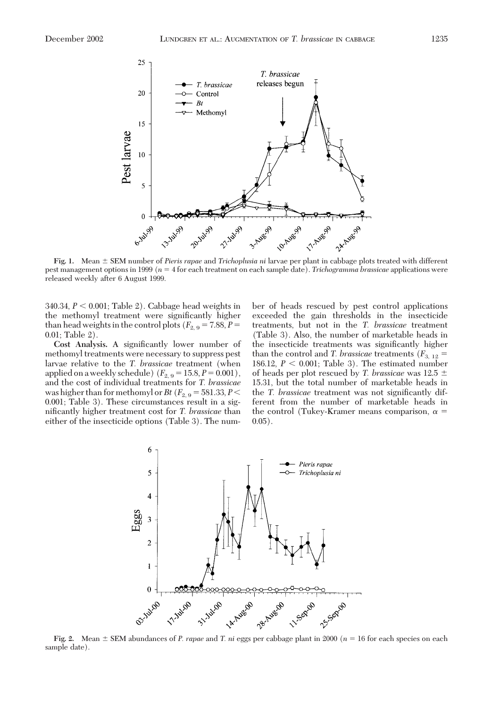

Fig. 1. Mean  $\pm$  SEM number of *Pieris rapae* and *Trichoplusia ni* larvae per plant in cabbage plots treated with different pest management options in 1999 (*n* 4 for each treatment on each sample date). *Trichogramma brassicae* applications were released weekly after 6 August 1999.

 $340.34$ ,  $P < 0.001$ ; Table 2). Cabbage head weights in the methomyl treatment were significantly higher than head weights in the control plots ( $F_{2,9} = 7.88, P =$ 0.01; Table 2).

Cost Analysis. A significantly lower number of methomyl treatments were necessary to suppress pest larvae relative to the *T. brassicae* treatment (when applied on a weekly schedule)  $(F_{2,9} = 15.8, P = 0.001)$ , and the cost of individual treatments for *T. brassicae* was higher than for methomyl or *Bt* ( $F_{2,9} = 581.33, P <$ 0.001; Table 3). These circumstances result in a significantly higher treatment cost for *T. brassicae* than either of the insecticide options (Table 3). The number of heads rescued by pest control applications exceeded the gain thresholds in the insecticide treatments, but not in the *T. brassicae* treatment (Table 3). Also, the number of marketable heads in the insecticide treatments was significantly higher than the control and *T. brassicae* treatments ( $F_{3, 12}$  = 186.12,  $P < 0.001$ ; Table 3). The estimated number of heads per plot rescued by *T. brassicae* was 12.5 15.31, but the total number of marketable heads in the *T. brassicae* treatment was not significantly different from the number of marketable heads in the control (Tukey-Kramer means comparison,  $\alpha$  =  $0.05$ ).



**Fig. 2.** Mean  $\pm$  SEM abundances of *P. rapae* and *T. ni* eggs per cabbage plant in 2000 ( $n = 16$  for each species on each sample date).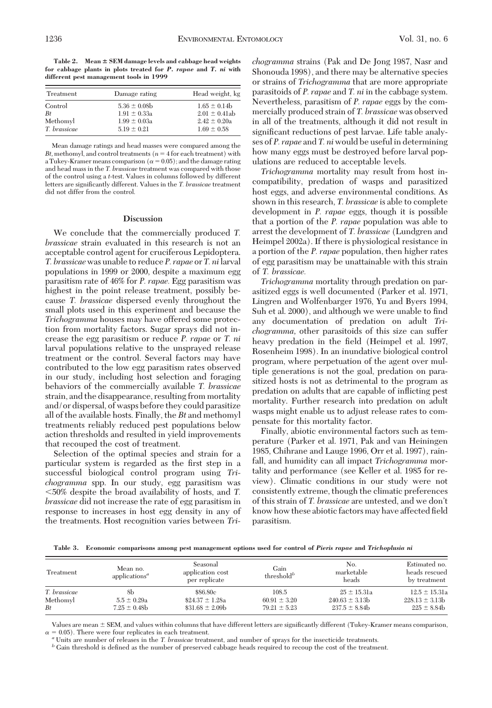Table 2. Mean  $\pm$  SEM damage levels and cabbage head weights **for cabbage plants in plots treated for** *P. rapae* **and** *T. ni* **with different pest management tools in 1999**

| Treatment    | Damage rating    | Head weight, kg    |  |
|--------------|------------------|--------------------|--|
| Control      | $5.36 \pm 0.08$  | $1.65 \pm 0.14$    |  |
| Bt           | $1.91 \pm 0.33a$ | $2.01 \pm 0.41$ ab |  |
| Methomyl     | $1.99 \pm 0.03a$ | $2.42 \pm 0.20a$   |  |
| T. brassicae | $5.19 \pm 0.21$  | $1.69 \pm 0.58$    |  |

Mean damage ratings and head masses were compared among the  $Bt$ , methomyl, and control treatments ( $n = 4$  for each treatment) with a Tukey-Kramer means comparison ( $\alpha = 0.05$ ); and the damage rating and head mass in the *T. brassicae* treatment was compared with those of the control using a *t*-test. Values in columns followed by different letters are significantly different. Values in the *T. brassicae* treatment did not differ from the control.

## **Discussion**

We conclude that the commercially produced *T. brassicae* strain evaluated in this research is not an acceptable control agent for cruciferous Lepidoptera. *T. brassicae*was unable to reduce *P. rapae* or *T. ni*larval populations in 1999 or 2000, despite a maximum egg parasitism rate of 46% for *P. rapae.* Egg parasitism was highest in the point release treatment, possibly because *T. brassicae* dispersed evenly throughout the small plots used in this experiment and because the *Trichogramma* houses may have offered some protection from mortality factors. Sugar sprays did not increase the egg parasitism or reduce *P. rapae* or *T. ni* larval populations relative to the unsprayed release treatment or the control. Several factors may have contributed to the low egg parasitism rates observed in our study, including host selection and foraging behaviors of the commercially available *T. brassicae* strain, and the disappearance, resulting from mortality and/or dispersal, of wasps before they could parasitize all of the available hosts. Finally, the *Bt* and methomyl treatments reliably reduced pest populations below action thresholds and resulted in yield improvements that recouped the cost of treatment.

Selection of the optimal species and strain for a particular system is regarded as the first step in a successful biological control program using *Trichogramma* spp. In our study, egg parasitism was 50% despite the broad availability of hosts, and *T. brassicae* did not increase the rate of egg parasitism in response to increases in host egg density in any of the treatments. Host recognition varies between *Tri-* *chogramma* strains (Pak and De Jong 1987, Nasr and Shonouda 1998), and there may be alternative species or strains of *Trichogramma* that are more appropriate parasitoids of *P. rapae* and *T. ni* in the cabbage system. Nevertheless, parasitism of *P. rapae* eggs by the commercially produced strain of *T. brassicae* was observed in all of the treatments, although it did not result in significant reductions of pest larvae. Life table analyses of *P. rapae* and *T. ni* would be useful in determining how many eggs must be destroyed before larval populations are reduced to acceptable levels.

*Trichogramma* mortality may result from host incompatibility, predation of wasps and parasitized host eggs, and adverse environmental conditions. As shown in this research, *T. brassicae* is able to complete development in *P. rapae* eggs, though it is possible that a portion of the *P. rapae* population was able to arrest the development of *T. brassicae* (Lundgren and Heimpel 2002a). If there is physiological resistance in a portion of the *P. rapae* population, then higher rates of egg parasitism may be unattainable with this strain of *T. brassicae.*

*Trichogramma* mortality through predation on parasitized eggs is well documented (Parker et al. 1971, Lingren and Wolfenbarger 1976, Yu and Byers 1994, Suh et al. 2000), and although we were unable to find any documentation of predation on adult *Trichogramma,* other parasitoids of this size can suffer heavy predation in the field (Heimpel et al. 1997, Rosenheim 1998). In an inundative biological control program, where perpetuation of the agent over multiple generations is not the goal, predation on parasitized hosts is not as detrimental to the program as predation on adults that are capable of inßicting pest mortality. Further research into predation on adult wasps might enable us to adjust release rates to compensate for this mortality factor.

Finally, abiotic environmental factors such as temperature (Parker et al. 1971, Pak and van Heiningen 1985, Chihrane and Lauge 1996, Orr et al. 1997), rainfall, and humidity can all impact *Trichogramma* mortality and performance (see Keller et al. 1985 for review). Climatic conditions in our study were not consistently extreme, though the climatic preferences of this strain of *T. brassicae* are untested, and we don't know how these abiotic factors may have affected field parasitism.

**Table 3. Economic comparisons among pest management options used for control of** *Pieris rapae* **and** *Trichoplusia ni*

| Treatment    | Mean no.<br>applications <sup><i>a</i></sup> | Seasonal<br>application cost<br>per replicate | Gain<br>threshold <sup>b</sup> | No.<br>marketable<br>heads | Estimated no.<br>heads rescued<br>by treatment |
|--------------|----------------------------------------------|-----------------------------------------------|--------------------------------|----------------------------|------------------------------------------------|
| T. brassicae | 8h                                           | \$86.80c                                      | 108.5                          | $25 \pm 15.31a$            | $12.5 \pm 15.31a$                              |
| Methomyl     | $5.5 \pm 0.29a$                              | $$24.37 \pm 1.28a$                            | $60.91 \pm 3.20$               | $240.63 \pm 3.13b$         | $228.13 \pm 3.13b$                             |
| Bt           | $7.25 \pm 0.48$ b                            | $\$31.68 \pm 2.09b$                           | $79.21 \pm 5.23$               | $237.5 \pm 8.84$           | $225 \pm 8.84$                                 |

Values are mean  $\pm$  SEM, and values within columns that have different letters are significantly different (Tukey-Kramer means comparison, = 0.05). There were four replicates in each treatment.<br>" Units are number of releases in the *T. brassicae* treatment, and number of sprays for the insecticide treatments.<br>" Gain threshold is defined as the number of pres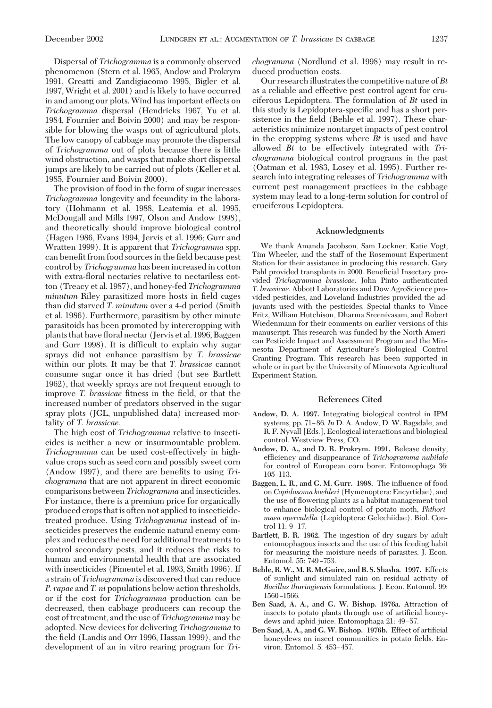Dispersal of *Trichogramma* is a commonly observed phenomenon (Stern et al. 1965, Andow and Prokrym 1991, Greatti and Zandigiacomo 1995, Bigler et al. 1997, Wright et al. 2001) and is likely to have occurred in and among our plots. Wind has important effects on *Trichogramma* dispersal (Hendricks 1967, Yu et al. 1984, Fournier and Boivin 2000) and may be responsible for blowing the wasps out of agricultural plots. The low canopy of cabbage may promote the dispersal of *Trichogramma* out of plots because there is little wind obstruction, and wasps that make short dispersal jumps are likely to be carried out of plots (Keller et al. 1985, Fournier and Boivin 2000).

The provision of food in the form of sugar increases *Trichogramma* longevity and fecundity in the laboratory (Hohmann et al. 1988, Leatemia et al. 1995, McDougall and Mills 1997, Olson and Andow 1998), and theoretically should improve biological control (Hagen 1986, Evans 1994, Jervis et al. 1996; Gurr and Wratten 1999). It is apparent that *Trichogramma* spp. can benefit from food sources in the field because pest control by *Trichogramma* has been increased in cotton with extra-ßoral nectaries relative to nectariless cotton (Treacy et al. 1987), and honey-fed *Trichogramma minutum* Riley parasitized more hosts in field cages than did starved *T. minutum* over a 4-d period (Smith et al. 1986). Furthermore, parasitism by other minute parasitoids has been promoted by intercropping with plants that have ßoral nectar (Jervis et al. 1996, Baggen and Gurr 1998). It is difficult to explain why sugar sprays did not enhance parasitism by *T. brassicae* within our plots. It may be that *T. brassicae* cannot consume sugar once it has dried (but see Bartlett 1962), that weekly sprays are not frequent enough to improve *T. brassicae* fitness in the field, or that the increased number of predators observed in the sugar spray plots (JGL, unpublished data) increased mortality of *T. brassicae.*

The high cost of *Trichogramma* relative to insecticides is neither a new or insurmountable problem. *Trichogramma* can be used cost-effectively in highvalue crops such as seed corn and possibly sweet corn (Andow 1997), and there are benefits to using *Trichogramma* that are not apparent in direct economic comparisons between *Trichogramma* and insecticides. For instance, there is a premium price for organically produced crops that is often not applied to insecticidetreated produce. Using *Trichogramma* instead of insecticides preserves the endemic natural enemy complex and reduces the need for additional treatments to control secondary pests, and it reduces the risks to human and environmental health that are associated with insecticides (Pimentel et al. 1993, Smith 1996). If a strain of *Trichogramma* is discovered that can reduce *P. rapae* and *T. ni* populations below action thresholds, or if the cost for *Trichogramma* production can be decreased, then cabbage producers can recoup the cost of treatment, and the use of *Trichogramma* may be adopted. New devices for delivering *Trichogramma* to the field (Landis and Orr 1996, Hassan 1999), and the development of an in vitro rearing program for *Tri-* *chogramma* (Nordlund et al. 1998) may result in reduced production costs.

Our research illustrates the competitive nature of*Bt* as a reliable and effective pest control agent for cruciferous Lepidoptera. The formulation of *Bt* used in this study is Lepidoptera-specific and has a short persistence in the field (Behle et al. 1997). These characteristics minimize nontarget impacts of pest control in the cropping systems where *Bt* is used and have allowed *Bt* to be effectively integrated with *Trichogramma* biological control programs in the past (Oatman et al. 1983, Losey et al. 1995). Further research into integrating releases of *Trichogramma* with current pest management practices in the cabbage system may lead to a long-term solution for control of cruciferous Lepidoptera.

#### **Acknowledgments**

We thank Amanda Jacobson, Sam Lockner, Katie Vogt, Tim Wheeler, and the staff of the Rosemount Experiment Station for their assistance in producing this research. Gary Pahl provided transplants in 2000. Beneficial Insectary provided *Trichogramma brassicae*. John Pinto authenticated *T. brassicae.* Abbott Laboratories and Dow AgroScience provided pesticides, and Loveland Industries provided the adjuvants used with the pesticides. Special thanks to Vince Fritz, William Hutchison, Dharma Sreenivasam, and Robert Wiedenmann for their comments on earlier versions of this manuscript. This research was funded by the North American Pesticide Impact and Assessment Program and the Minnesota Department of Agriculture's Biological Control Granting Program. This research has been supported in whole or in part by the University of Minnesota Agricultural Experiment Station.

#### **References Cited**

- **Andow, D. A. 1997.** Integrating biological control in IPM systems, pp. 71–86. *In* D. A. Andow, D. W. Ragsdale, and R. F. Nyvall [Eds.], Ecological interactions and biological control. Westview Press, CO.
- **Andow, D. A., and D. R. Prokrym. 1991.** Release density, efficiency and disappearance of *Trichogramma nubilale* for control of European corn borer. Entomophaga 36: 105–113.
- **Baggen, L. R., and G. M. Gurr. 1998.** The inßuence of food on*Copidosoma koehleri* (Hymenoptera: Encyrtidae), and the use of ßowering plants as a habitat management tool to enhance biological control of potato moth, *Phthorimaea operculella* (Lepidoptera: Gelechiidae). Biol. Control 11: 9-17.
- **Bartlett, B. R. 1962.** The ingestion of dry sugars by adult entomophagous insects and the use of this feeding habit for measuring the moisture needs of parasites. J. Econ. Entomol. 55: 749-753.
- **Behle, R. W., M. R. McGuire, and B. S. Shasha. 1997.** Effects of sunlight and simulated rain on residual activity of *Bacillus thuringiensis* formulations. J. Econ. Entomol. 99: 1560-1566.
- **Ben Saad, A. A., and G. W. Bishop. 1976a.** Attraction of insects to potato plants through use of artificial honeydews and aphid juice. Entomophaga 21: 49-57.
- Ben Saad, A. A., and G. W. Bishop. 1976b. Effect of artificial honeydews on insect communities in potato fields. Environ. Entomol. 5: 453-457.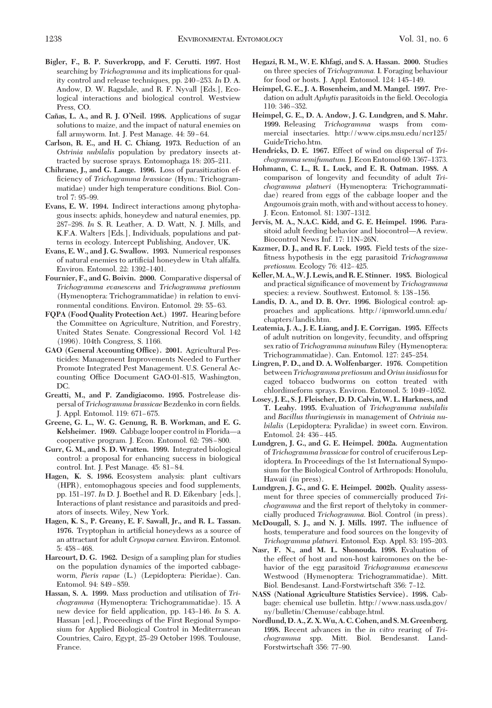- **Bigler, F., B. P. Suverkropp, and F. Cerutti. 1997.** Host searching by *Trichogramma* and its implications for quality control and release techniques, pp. 240–253. In D. A. Andow, D. W. Ragsdale, and R. F. Nyvall [Eds.], Ecological interactions and biological control. Westview Press, CO.
- **Can˜ as, L. A., and R. J. O'Neil. 1998.** Applications of sugar solutions to maize, and the impact of natural enemies on fall armyworm. Int. J. Pest Manage. 44: 59-64.
- **Carlson, R. E., and H. C. Chiang. 1973.** Reduction of an *Ostrinia nubilalis* population by predatory insects attracted by sucrose sprays. Entomophaga 18: 205–211.
- **Chihrane, J., and G. Lauge. 1996.** Loss of parasitization efficiency of *Trichogramma brassicae* (Hym.: Trichogrammatidae) under high temperature conditions. Biol. Control 7: 95–99.
- **Evans, E. W. 1994.** Indirect interactions among phytophagous insects: aphids, honeydew and natural enemies, pp. 287–298. *In* S. R. Leather, A. D. Watt, N. J. Mills, and K.F.A. Walters [Eds.], Individuals, populations and patterns in ecology. Intercept Publishing, Andover, UK.
- **Evans, E. W., and J. G. Swallow. 1993.** Numerical responses of natural enemies to artificial honeydew in Utah alfalfa. Environ. Entomol. 22: 1392-1401.
- **Fournier, F., and G. Boivin. 2000.** Comparative dispersal of *Trichogramma evanescens* and *Trichogramma pretiosum* (Hymenoptera: Trichogrammatidae) in relation to environmental conditions. Environ. Entomol. 29: 55-63.
- **FQPA (Food Quality Protection Act.) 1997.** Hearing before the Committee on Agriculture, Nutrition, and Forestry, United States Senate. Congressional Record Vol. 142 (1996). 104th Congress, S. 1166.
- **GAO (General Accounting Office). 2001.** Agricultural Pesticides: Management Improvements Needed to Further Promote Integrated Pest Management. U.S. General Accounting Office Document GAO-01-815, Washington, DC.
- **Greatti, M., and P. Zandigiacomo. 1995.** Postrelease dispersal of *Trichogramma brassicae* Bezdenko in corn fields. J. Appl. Entomol. 119: 671-675.
- **Greene, G. L., W. G. Genung, R. B. Workman, and E. G. Kelsheimer. 1969.** Cabbage looper control in Florida—a cooperative program. J. Econ. Entomol. 62: 798-800.
- **Gurr, G. M., and S. D. Wratten. 1999.** Integrated biological control: a proposal for enhancing success in biological control. Int. J. Pest Manage. 45: 81-84.
- **Hagen, K. S. 1986.** Ecosystem analysis: plant cultivars (HPR), entomophagous species and food supplements, pp. 151–197. *In* D. J. Boethel and R. D. Eikenbary [eds.], Interactions of plant resistance and parasitoids and predators of insects. Wiley, New York.
- **Hagen, K. S., P. Greany, E. F. Sawall, Jr., and R. L. Tassan.** 1976. Tryptophan in artificial honeydews as a source of an attractant for adult *Crysopa carnea.* Environ. Entomol.  $5:458-468.$
- **Harcourt, D. G. 1962.** Design of a sampling plan for studies on the population dynamics of the imported cabbageworm, *Pieris rapae* (L.) (Lepidoptera: Pieridae). Can. Entomol. 94: 849-859.
- **Hassan, S. A. 1999.** Mass production and utilisation of *Trichogramma* (Hymenoptera: Trichogrammatidae). 15. A new device for field application, pp. 143-146. *In* S. A. Hassan [ed.], Proceedings of the First Regional Symposium for Applied Biological Control in Mediterranean Countries, Cairo, Egypt, 25–29 October 1998. Toulouse, France.
- **Hegazi, R. M., W. E. Khfagi, and S. A. Hassan. 2000.** Studies on three species of *Trichogramma.* I. Foraging behaviour for food or hosts. J. Appl. Entomol. 124: 145-149.
- **Heimpel, G. E., J. A. Rosenheim, and M. Mangel. 1997.** Predation on adult *Aphytis* parasitoids in the field. Oecologia 110: 346-352.
- **Heimpel, G. E., D. A. Andow, J. G. Lundgren, and S. Mahr. 1999.** Releasing *Trichogramma* wasps from commercial insectaries. http://www.cips.msu.edu/ncr125/ GuideTricho.htm.
- **Hendricks, D. E. 1967.** Effect of wind on dispersal of *Tri*chogramma semifumatum. J. Econ Entomol 60: 1367-1373.
- **Hohmann, C. L., R. L. Luck, and E. R. Oatman. 1988.** A comparison of longevity and fecundity of adult *Trichogramma platneri* (Hymenoptera: Trichogrammatidae) reared from eggs of the cabbage looper and the Angoumois grain moth, with and without access to honey. J. Econ. Entomol. 81: 1307-1312.
- **Jervis, M. A., N.A.C. Kidd, and G. E. Heimpel. 1996.** Parasitoid adult feeding behavior and biocontrol—A review. Biocontrol News Inf. 17: 11N-26N.
- **Kazmer, D. J., and R. F. Luck. 1995.** Field tests of the sizefitness hypothesis in the egg parasitoid *Trichogramma pretiosum.* Ecology 76: 412-425.
- **Keller,M. A.,W. J. Lewis, and R. E. Stinner. 1985.** Biological and practical significance of movement by *Trichogramma* species: a review. Southwest. Entomol. 8: 138-156.
- **Landis, D. A., and D. B. Orr. 1996.** Biological control: approaches and applications. http://ipmworld.umn.edu/ chapters/landis.htm.
- **Leatemia, J. A., J. E. Liang, and J. E. Corrigan. 1995.** Effects of adult nutrition on longevity, fecundity, and offspring sex ratio of *Trichogramma minutum* Riley (Hymenoptera: Trichogrammatidae). Can. Entomol. 127: 245-254.
- **Lingren, P. D., and D. A. Wolfenbarger. 1976.** Competition between*Trichogramma pretiosum* and*Orius insidiosus*for caged tobacco budworms on cotton treated with chlordimeform sprays. Environ. Entomol. 5: 1049-1052.
- **Losey, J. E., S. J. Fleischer, D. D. Calvin, W. L. Harkness, and T. Leahy. 1995.** Evaluation of *Trichogramma nubilalis* and *Bacillus thuringiensis* in management of *Ostrinia nubilalis* (Lepidoptera: Pyralidae) in sweet corn. Environ. Entomol. 24: 436 - 445.
- **Lundgren, J. G., and G. E. Heimpel. 2002a.** Augmentation of *Trichogramma brassicae* for control of cruciferous Lepidoptera. In Proceedings of the 1st International Symposium for the Biological Control of Arthropods: Honolulu, Hawaii (in press).
- **Lundgren, J. G., and G. E. Heimpel. 2002b.** Quality assessment for three species of commercially produced *Trichogramma* and the first report of thelytoky in commercially produced *Trichogramma*. Biol. Control (in press).
- **McDougall, S. J., and N. J. Mills. 1997.** The inßuence of hosts, temperature and food sources on the longevity of *Trichogramma platneri.* Entomol. Exp. Appl. 83: 195-203.
- **Nasr, F. N., and M. L. Shonouda. 1998.** Evaluation of the effect of host and non-host kairomones on the behavior of the egg parasitoid *Trichogramma evanescens* Westwood (Hymenoptera: Trichogrammatidae). Mitt. Biol. Bendesanst. Land-Forstwirtschaft 356: 7–12.
- **NASS (National Agriculture Statistics Service). 1998.** Cabbage: chemical use bulletin. http://www.nass.usda.gov/ ny/bulletin/Chemuse/cabbage.html.
- **Nordlund, D. A., Z. X.Wu, A. C. Cohen, and S.M. Greenberg. 1998.** Recent advances in the *in vitro* rearing of *Trichogramma* spp. Mitt. Biol. Bendesanst. Land-Forstwirtschaft 356: 77–90.